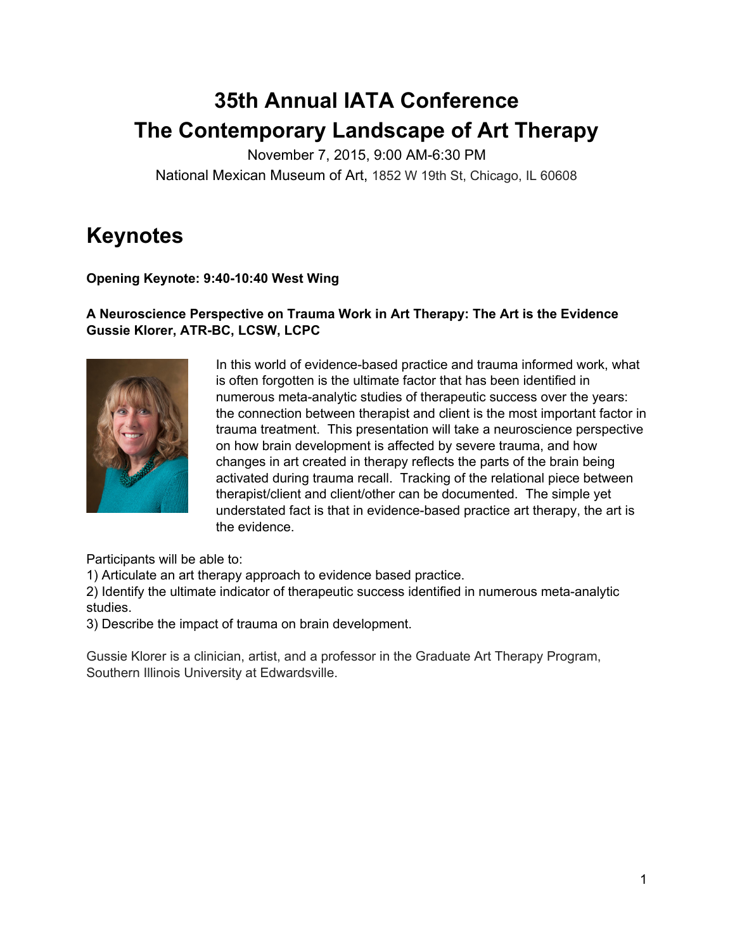# **35th Annual IATA Conference The Contemporary Landscape of Art Therapy**

November 7, 2015, 9:00 AM-6:30 PM National Mexican Museum of Art, 1852 W 19th St, Chicago, IL 60608

# **Keynotes**

#### **Opening Keynote: 9:40-10:40 West Wing**

#### **A Neuroscience Perspective on Trauma Work in Art Therapy: The Art is the Evidence**  $G$ ussie Klorer, ATR-BC, LCSW, LCPC



In this world of evidence-based practice and trauma informed work, what is often forgotten is the ultimate factor that has been identified in numerous meta-analytic studies of therapeutic success over the years: the connection between therapist and client is the most important factor in trauma treatment. This presentation will take a neuroscience perspective on how brain development is affected by severe trauma, and how changes in art created in therapy reflects the parts of the brain being activated during trauma recall. Tracking of the relational piece between therapist/client and client/other can be documented. The simple yet understated fact is that in evidence-based practice art therapy, the art is the evidence.

Participants will be able to:

1) Articulate an art therapy approach to evidence based practice.

2) Identify the ultimate indicator of therapeutic success identified in numerous meta-analytic studies.

3) Describe the impact of trauma on brain development.

Gussie Klorer is a clinician, artist, and a professor in the Graduate Art Therapy Program, Southern Illinois University at Edwardsville.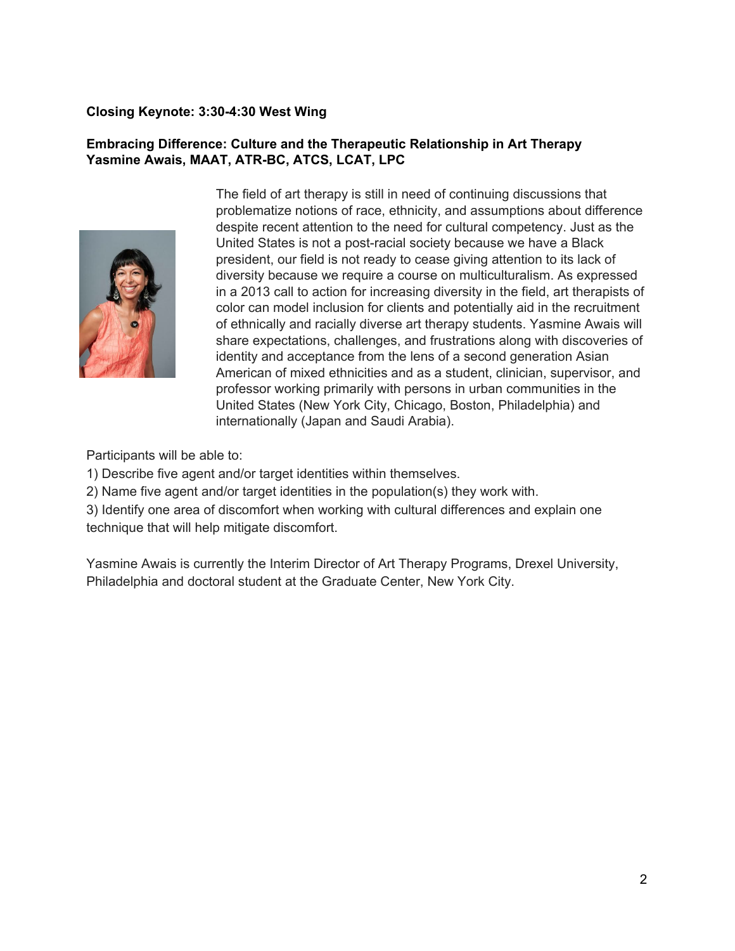#### **Closing Keynote: 3:304:30 West Wing**

#### **Embracing Difference: Culture and the Therapeutic Relationship in Art Therapy Yasmine Awais, MAAT, ATRBC, ATCS, LCAT, LPC**



The field of art therapy is still in need of continuing discussions that problematize notions of race, ethnicity, and assumptions about difference despite recent attention to the need for cultural competency. Just as the United States is not a post-racial society because we have a Black president, our field is not ready to cease giving attention to its lack of diversity because we require a course on multiculturalism. As expressed in a 2013 call to action for increasing diversity in the field, art therapists of color can model inclusion for clients and potentially aid in the recruitment of ethnically and racially diverse art therapy students. Yasmine Awais will share expectations, challenges, and frustrations along with discoveries of identity and acceptance from the lens of a second generation Asian American of mixed ethnicities and as a student, clinician, supervisor, and professor working primarily with persons in urban communities in the United States (New York City, Chicago, Boston, Philadelphia) and internationally (Japan and Saudi Arabia).

Participants will be able to:

1) Describe five agent and/or target identities within themselves.

2) Name five agent and/or target identities in the population(s) they work with.

3) Identify one area of discomfort when working with cultural differences and explain one technique that will help mitigate discomfort.

Yasmine Awais is currently the Interim Director of Art Therapy Programs, Drexel University, Philadelphia and doctoral student at the Graduate Center, New York City.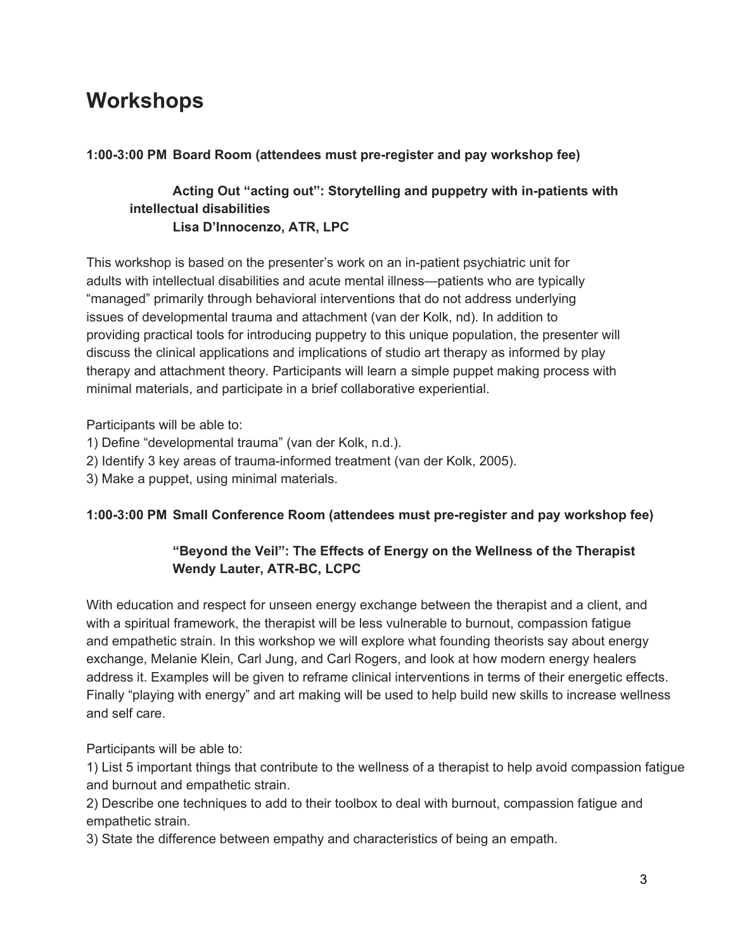# **Workshops**

### **1:003:00 PM Board Room (attendees must preregister and pay workshop fee)**

#### **Acting Out "acting out": Storytelling and puppetry with inpatients with intellectual disabilities Lisa D'Innocenzo, ATR, LPC**

This workshop is based on the presenter's work on an in-patient psychiatric unit for adults with intellectual disabilities and acute mental illness—patients who are typically "managed" primarily through behavioral interventions that do not address underlying issues of developmental trauma and attachment (van der Kolk, nd). In addition to providing practical tools for introducing puppetry to this unique population, the presenter will discuss the clinical applications and implications of studio art therapy as informed by play therapy and attachment theory. Participants will learn a simple puppet making process with minimal materials, and participate in a brief collaborative experiential.

Participants will be able to:

- 1) Define "developmental trauma" (van der Kolk, n.d.).
- 2) Identify 3 key areas of trauma-informed treatment (van der Kolk, 2005).
- 3) Make a puppet, using minimal materials.

# **1:003:00 PM Small Conference Room (attendees must preregister and pay workshop fee)**

### **"Beyond the Veil": The Effects of Energy on the Wellness of the Therapist Wendy Lauter, ATR-BC, LCPC**

With education and respect for unseen energy exchange between the therapist and a client, and with a spiritual framework, the therapist will be less vulnerable to burnout, compassion fatigue and empathetic strain. In this workshop we will explore what founding theorists say about energy exchange, Melanie Klein, Carl Jung, and Carl Rogers, and look at how modern energy healers address it. Examples will be given to reframe clinical interventions in terms of their energetic effects. Finally "playing with energy" and art making will be used to help build new skills to increase wellness and self care.

Participants will be able to:

1) List 5 important things that contribute to the wellness of a therapist to help avoid compassion fatigue and burnout and empathetic strain.

2) Describe one techniques to add to their toolbox to deal with burnout, compassion fatigue and empathetic strain.

3) State the difference between empathy and characteristics of being an empath.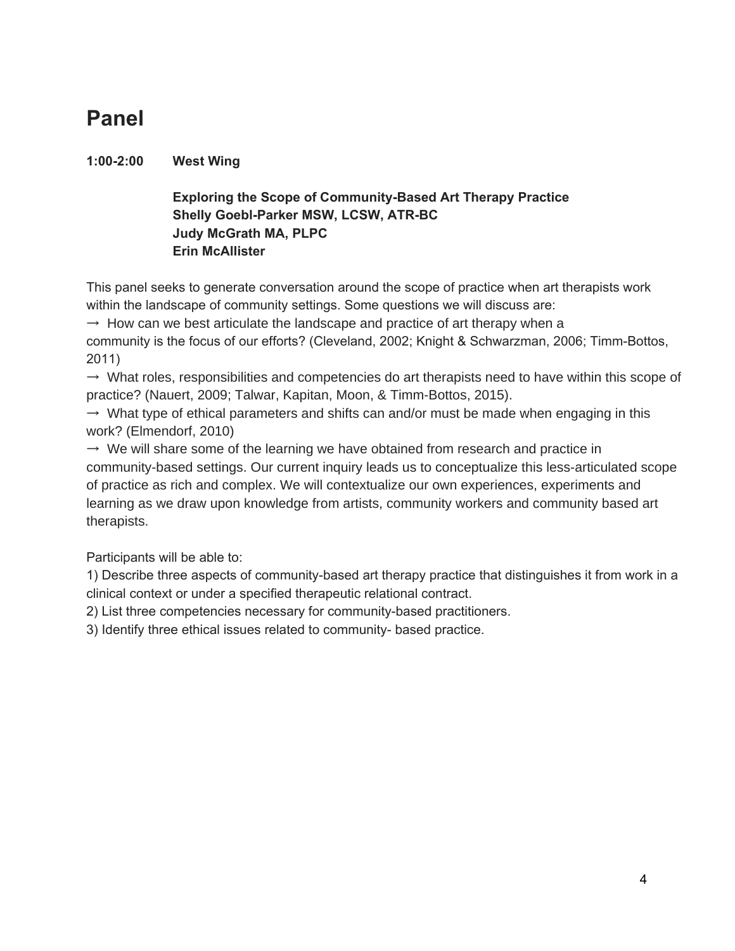# **Panel**

# **1:002:00 West Wing**

# **Exploring the Scope of Community-Based Art Therapy Practice Shelly Goebl-Parker MSW, LCSW, ATR-BC Judy McGrath MA, PLPC Erin McAllister**

This panel seeks to generate conversation around the scope of practice when art therapists work within the landscape of community settings. Some questions we will discuss are:

 $\rightarrow$  How can we best articulate the landscape and practice of art therapy when a community is the focus of our efforts? (Cleveland, 2002; Knight & Schwarzman, 2006; Timm-Bottos, 2011)

 $\rightarrow$  What roles, responsibilities and competencies do art therapists need to have within this scope of practice? (Nauert, 2009; Talwar, Kapitan, Moon, & Timm-Bottos, 2015).

 $\rightarrow$  What type of ethical parameters and shifts can and/or must be made when engaging in this work? (Elmendorf, 2010)

 $\rightarrow$  We will share some of the learning we have obtained from research and practice in community-based settings. Our current inquiry leads us to conceptualize this less-articulated scope of practice as rich and complex. We will contextualize our own experiences, experiments and learning as we draw upon knowledge from artists, community workers and community based art therapists.

Participants will be able to:

1) Describe three aspects of community-based art therapy practice that distinguishes it from work in a clinical context or under a specified therapeutic relational contract.

2) List three competencies necessary for community-based practitioners.

3) Identify three ethical issues related to community- based practice.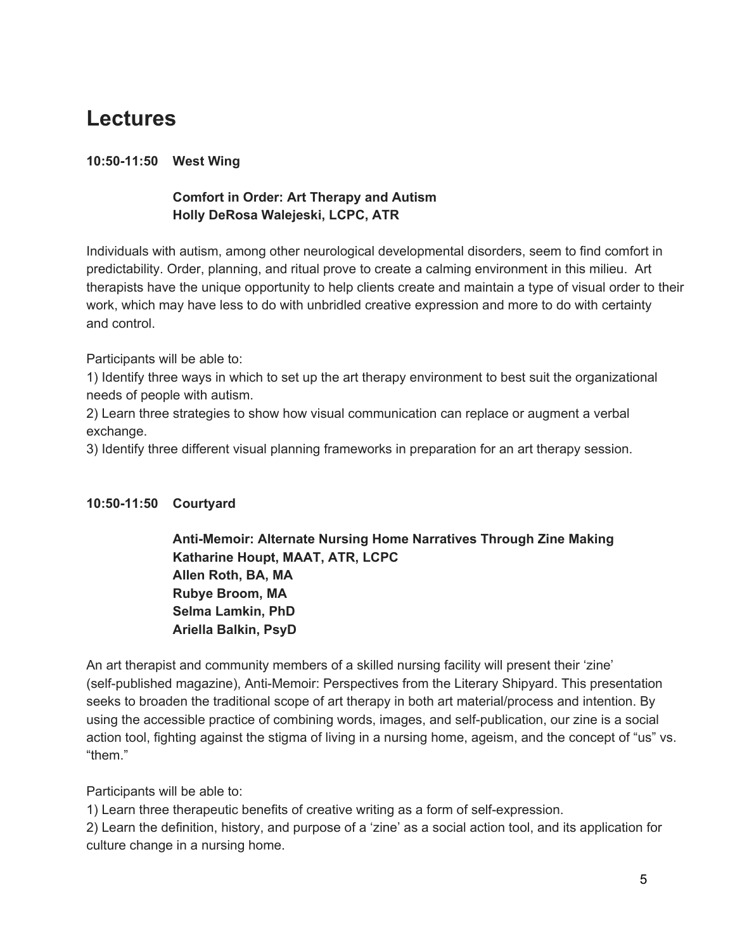# **Lectures**

### **10:5011:50 West Wing**

# **Comfort in Order: Art Therapy and Autism Holly DeRosa Walejeski, LCPC, ATR**

Individuals with autism, among other neurological developmental disorders, seem to find comfort in predictability. Order, planning, and ritual prove to create a calming environment in this milieu. Art therapists have the unique opportunity to help clients create and maintain a type of visual order to their work, which may have less to do with unbridled creative expression and more to do with certainty and control.

Participants will be able to:

1) Identify three ways in which to set up the art therapy environment to best suit the organizational needs of people with autism.

2) Learn three strategies to show how visual communication can replace or augment a verbal exchange.

3) Identify three different visual planning frameworks in preparation for an art therapy session.

# **10:5011:50 Courtyard**

**Anti-Memoir: Alternate Nursing Home Narratives Through Zine Making Katharine Houpt, MAAT, ATR, LCPC Allen Roth, BA, MA Rubye Broom, MA Selma Lamkin, PhD Ariella Balkin, PsyD**

An art therapist and community members of a skilled nursing facility will present their 'zine' (self-published magazine), Anti-Memoir: Perspectives from the Literary Shipyard. This presentation seeks to broaden the traditional scope of art therapy in both art material/process and intention. By using the accessible practice of combining words, images, and self-publication, our zine is a social action tool, fighting against the stigma of living in a nursing home, ageism, and the concept of "us" vs. "them."

Participants will be able to:

1) Learn three therapeutic benefits of creative writing as a form of self-expression.

2) Learn the definition, history, and purpose of a 'zine' as a social action tool, and its application for culture change in a nursing home.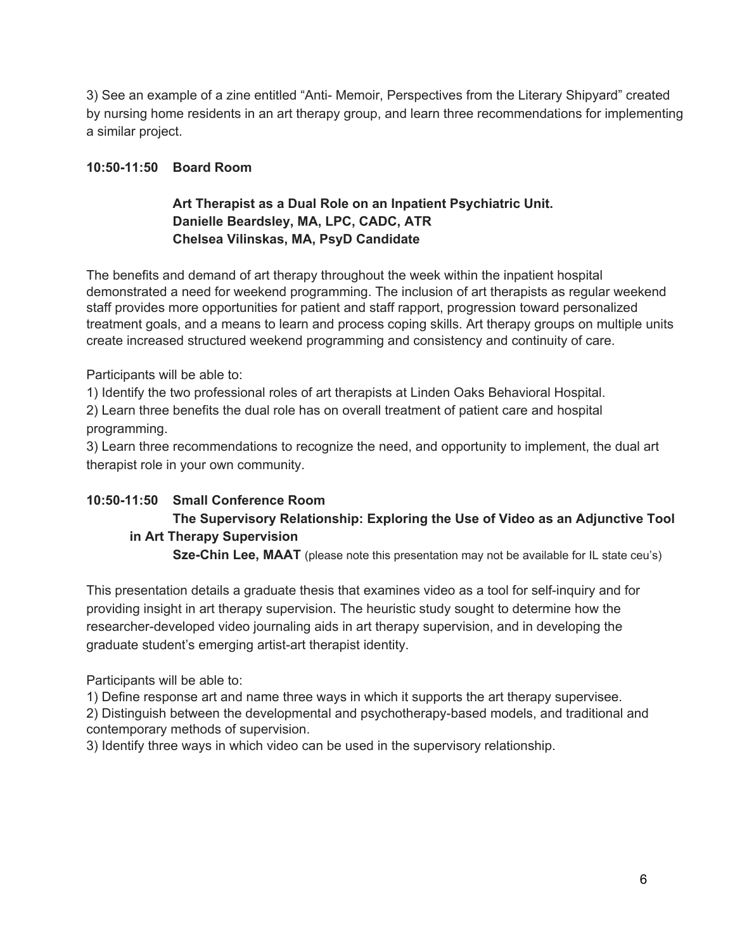3) See an example of a zine entitled "Anti- Memoir, Perspectives from the Literary Shipyard" created by nursing home residents in an art therapy group, and learn three recommendations for implementing a similar project.

#### **10:5011:50 Board Room**

### **Art Therapist as a Dual Role on an Inpatient Psychiatric Unit. Danielle Beardsley, MA, LPC, CADC, ATR Chelsea Vilinskas, MA, PsyD Candidate**

The benefits and demand of art therapy throughout the week within the inpatient hospital demonstrated a need for weekend programming. The inclusion of art therapists as regular weekend staff provides more opportunities for patient and staff rapport, progression toward personalized treatment goals, and a means to learn and process coping skills. Art therapy groups on multiple units create increased structured weekend programming and consistency and continuity of care.

Participants will be able to:

1) Identify the two professional roles of art therapists at Linden Oaks Behavioral Hospital.

2) Learn three benefits the dual role has on overall treatment of patient care and hospital programming.

3) Learn three recommendations to recognize the need, and opportunity to implement, the dual art therapist role in your own community.

# **10:5011:50 Small Conference Room The Supervisory Relationship: Exploring the Use of Video as an Adjunctive Tool in Art Therapy Supervision**

**Sze-Chin Lee, MAAT** (please note this presentation may not be available for IL state ceu's)

This presentation details a graduate thesis that examines video as a tool for self-inquiry and for providing insight in art therapy supervision. The heuristic study sought to determine how the researcher-developed video journaling aids in art therapy supervision, and in developing the graduate student's emerging artist-art therapist identity.

Participants will be able to:

1) Define response art and name three ways in which it supports the art therapy supervisee.

2) Distinguish between the developmental and psychotherapy-based models, and traditional and contemporary methods of supervision.

3) Identify three ways in which video can be used in the supervisory relationship.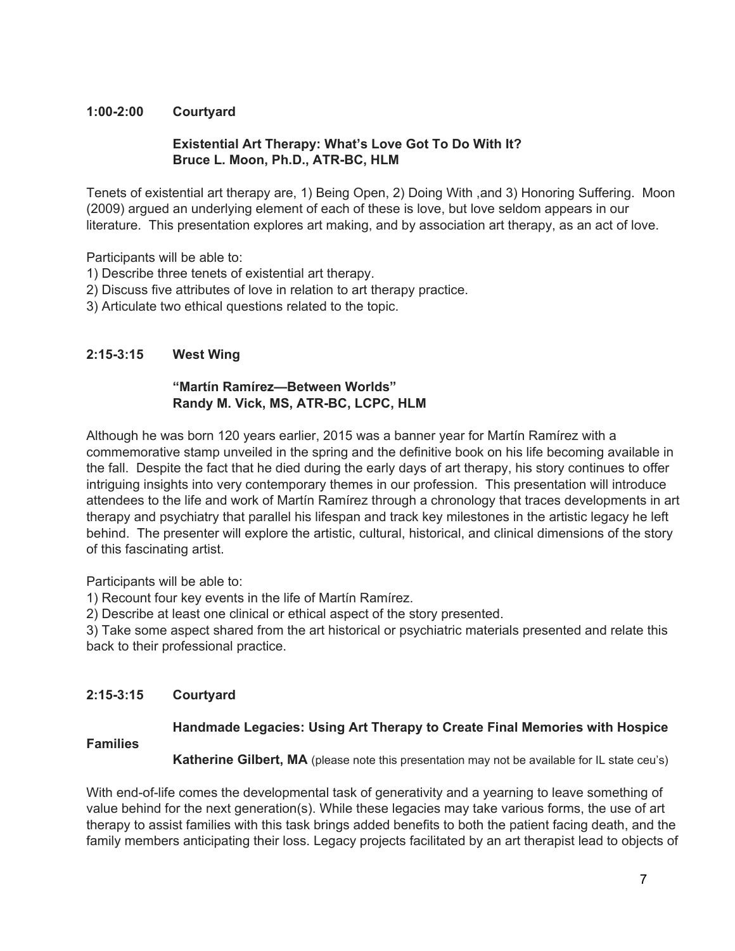#### **1:002:00 Courtyard**

#### **Existential Art Therapy: What's Love Got To Do With It? Bruce L. Moon, Ph.D., ATR-BC, HLM**

Tenets of existential art therapy are, 1) Being Open, 2) Doing With ,and 3) Honoring Suffering. Moon (2009) argued an underlying element of each of these is love, but love seldom appears in our literature. This presentation explores art making, and by association art therapy, as an act of love.

Participants will be able to:

- 1) Describe three tenets of existential art therapy.
- 2) Discuss five attributes of love in relation to art therapy practice.
- 3) Articulate two ethical questions related to the topic.

#### **2:153:15 West Wing**

#### **"Martín Ramírez—Between Worlds" Randy M. Vick, MS, ATR-BC, LCPC, HLM**

Although he was born 120 years earlier, 2015 was a banner year for Martín Ramírez with a commemorative stamp unveiled in the spring and the definitive book on his life becoming available in the fall. Despite the fact that he died during the early days of art therapy, his story continues to offer intriguing insights into very contemporary themes in our profession. This presentation will introduce attendees to the life and work of Martín Ramírez through a chronology that traces developments in art therapy and psychiatry that parallel his lifespan and track key milestones in the artistic legacy he left behind. The presenter will explore the artistic, cultural, historical, and clinical dimensions of the story of this fascinating artist.

Participants will be able to:

1) Recount four key events in the life of Martín Ramírez.

2) Describe at least one clinical or ethical aspect of the story presented.

3) Take some aspect shared from the art historical or psychiatric materials presented and relate this back to their professional practice.

#### **2:153:15 Courtyard**

#### **Handmade Legacies: Using Art Therapy to Create Final Memories with Hospice**

#### **Families**

**Katherine Gilbert, MA** (please note this presentation may not be available for IL state ceu's)

With end-of-life comes the developmental task of generativity and a yearning to leave something of value behind for the next generation(s). While these legacies may take various forms, the use of art therapy to assist families with this task brings added benefits to both the patient facing death, and the family members anticipating their loss. Legacy projects facilitated by an art therapist lead to objects of